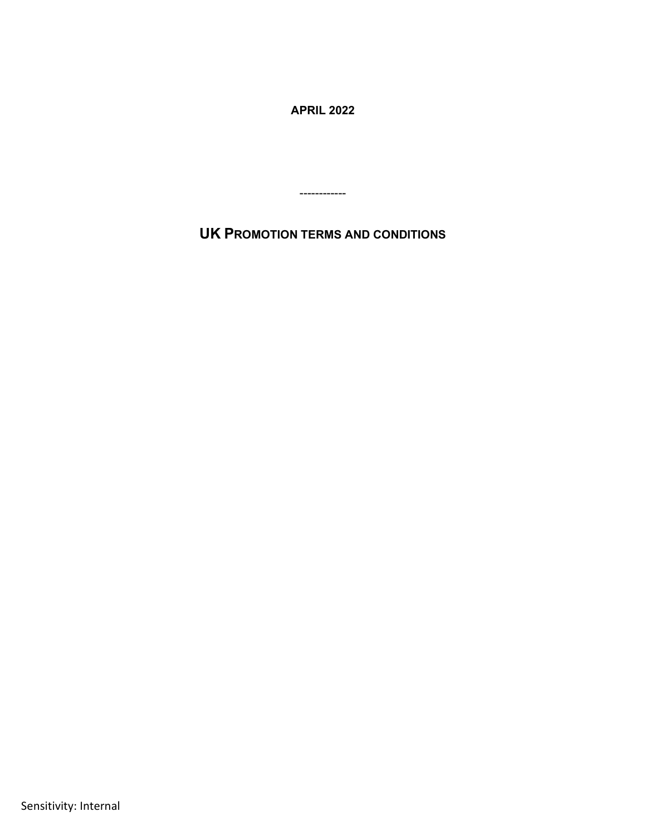**APRIL 2022**

**UK PROMOTION TERMS AND CONDITIONS**

------------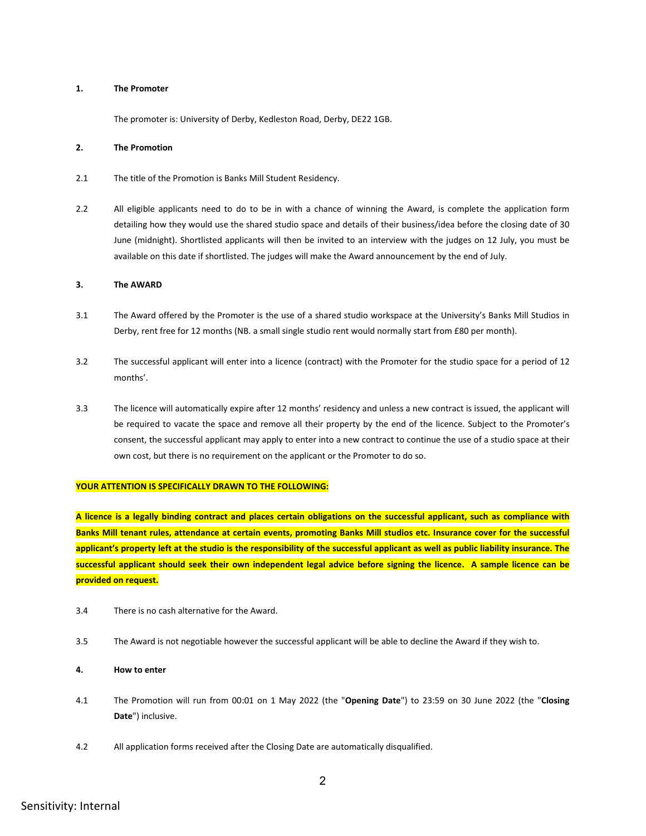#### **1. The Promoter**

The promoter is: University of Derby, Kedleston Road, Derby, DE22 1GB.

#### **2. The Promotion**

- 2.1 The title of the Promotion is Banks Mill Student Residency.
- 2.2 All eligible applicants need to do to be in with a chance of winning the Award, is complete the application form detailing how they would use the shared studio space and details of their business/idea before the closing date of 30 June (midnight). Shortlisted applicants will then be invited to an interview with the judges on 12 July, you must be available on this date if shortlisted. The judges will make the Award announcement by the end of July.

### **3. The AWARD**

- 3.1 The Award offered by the Promoter is the use of a shared studio workspace at the University's Banks Mill Studios in Derby, rent free for 12 months (NB. a small single studio rent would normally start from £80 per month).
- 3.2 The successful applicant will enter into a licence (contract) with the Promoter for the studio space for a period of 12 months'.
- 3.3 The licence will automatically expire after 12 months' residency and unless a new contract is issued, the applicant will be required to vacate the space and remove all their property by the end of the licence. Subject to the Promoter's consent, the successful applicant may apply to enter into a new contract to continue the use of a studio space at their own cost, but there is no requirement on the applicant or the Promoter to do so.

#### **YOUR ATTENTION IS SPECIFICALLY DRAWN TO THE FOLLOWING:**

**A licence is a legally binding contract and places certain obligations on the successful applicant, such as compliance with Banks Mill tenant rules, attendance at certain events, promoting Banks Mill studios etc. Insurance cover for the successful applicant's property left at the studio is the responsibility of the successful applicant as well as public liability insurance. The successful applicant should seek their own independent legal advice before signing the licence. A sample licence can be provided on request.**

- 3.4 There is no cash alternative for the Award.
- 3.5 The Award is not negotiable however the successful applicant will be able to decline the Award if they wish to.

## **4. How to enter**

- 4.1 The Promotion will run from 00:01 on 1 May 2022 (the "**Opening Date**") to 23:59 on 30 June 2022 (the "**Closing Date**") inclusive.
- 4.2 All application forms received after the Closing Date are automatically disqualified.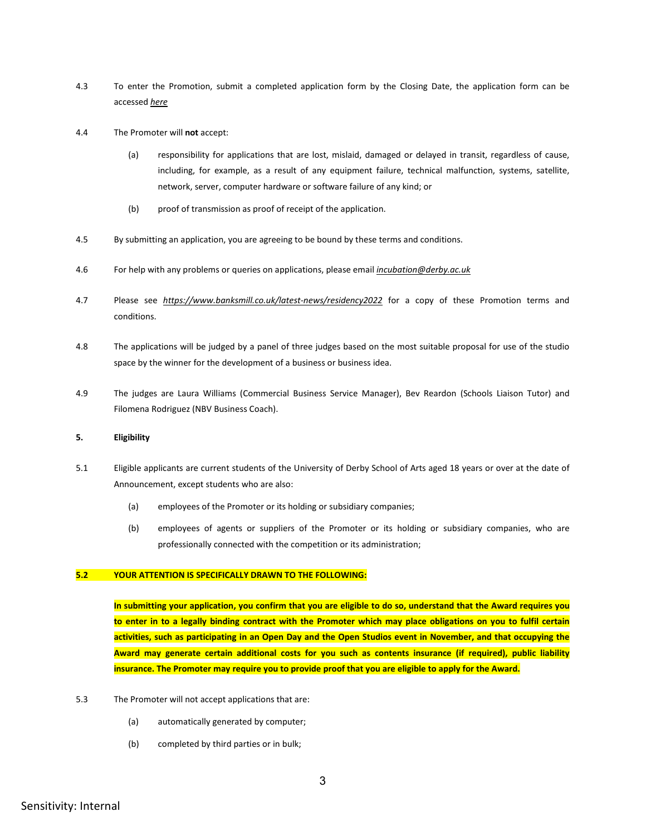- 4.3 To enter the Promotion, submit a completed application form by the Closing Date, the application form can be accessed *[here](https://forms.office.com/Pages/ResponsePage.aspx?id=OrvxmPpegkeIur2JfbYOYq1kPK-YH4xOiUcMVoMGNAFUMDZPS0dSR0ZYQkJOSVoxWFVMQTBYVTBRVyQlQCN0PWcu)*
- 4.4 The Promoter will **not** accept:
	- (a) responsibility for applications that are lost, mislaid, damaged or delayed in transit, regardless of cause, including, for example, as a result of any equipment failure, technical malfunction, systems, satellite, network, server, computer hardware or software failure of any kind; or
	- (b) proof of transmission as proof of receipt of the application.
- 4.5 By submitting an application, you are agreeing to be bound by these terms and conditions.
- 4.6 For help with any problems or queries on applications, please email *[incubation@derby.ac.uk](mailto:incubation@derby.ac.uk)*
- 4.7 Please see *[https://www.banksmill.co.uk/latest-news/residency2](https://www.banksmill.co.uk/latest-news/residency)022* for a copy of these Promotion terms and conditions.
- 4.8 The applications will be judged by a panel of three judges based on the most suitable proposal for use of the studio space by the winner for the development of a business or business idea.
- 4.9 The judges are Laura Williams (Commercial Business Service Manager), Bev Reardon (Schools Liaison Tutor) and Filomena Rodriguez (NBV Business Coach).

### **5. Eligibility**

- 5.1 Eligible applicants are current students of the University of Derby School of Arts aged 18 years or over at the date of Announcement, except students who are also:
	- (a) employees of the Promoter or its holding or subsidiary companies;
	- (b) employees of agents or suppliers of the Promoter or its holding or subsidiary companies, who are professionally connected with the competition or its administration;

## **5.2 YOUR ATTENTION IS SPECIFICALLY DRAWN TO THE FOLLOWING:**

**In submitting your application, you confirm that you are eligible to do so, understand that the Award requires you to enter in to a legally binding contract with the Promoter which may place obligations on you to fulfil certain activities, such as participating in an Open Day and the Open Studios event in November, and that occupying the Award may generate certain additional costs for you such as contents insurance (if required), public liability insurance. The Promoter may require you to provide proof that you are eligible to apply for the Award.**

- 5.3 The Promoter will not accept applications that are:
	- (a) automatically generated by computer;
	- (b) completed by third parties or in bulk;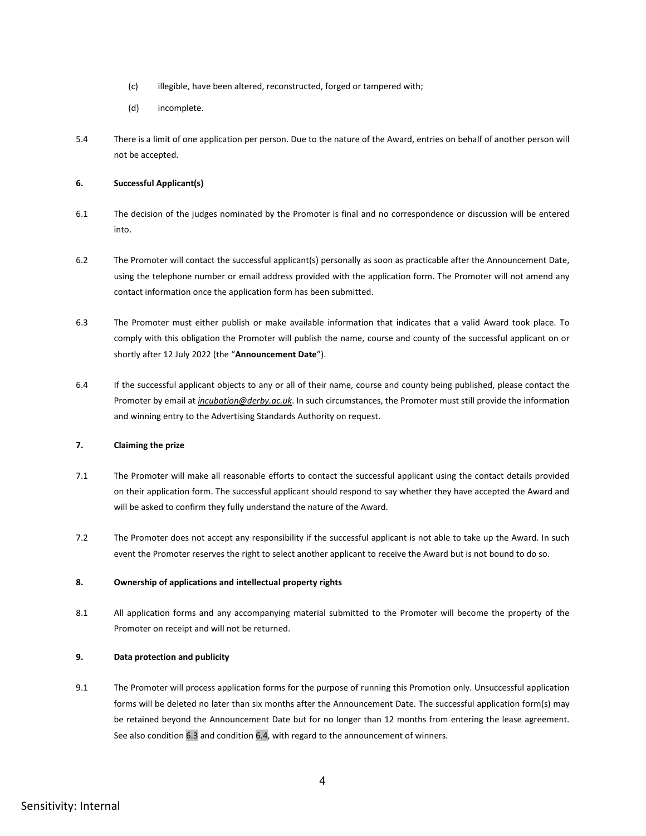- (c) illegible, have been altered, reconstructed, forged or tampered with;
- (d) incomplete.
- 5.4 There is a limit of one application per person. Due to the nature of the Award, entries on behalf of another person will not be accepted.

# **6. Successful Applicant(s)**

- 6.1 The decision of the judges nominated by the Promoter is final and no correspondence or discussion will be entered into.
- <span id="page-3-0"></span>6.2 The Promoter will contact the successful applicant(s) personally as soon as practicable after the Announcement Date, using the telephone number or email address provided with the application form. The Promoter will not amend any contact information once the application form has been submitted.
- 6.3 The Promoter must either publish or make available information that indicates that a valid Award took place. To comply with this obligation the Promoter will publish the name, course and county of the successful applicant on or shortly after 12 July 2022 (the "**Announcement Date**").
- <span id="page-3-1"></span>6.4 If the successful applicant objects to any or all of their name, course and county being published, please contact the Promoter by email at *[incubation@derby.ac.uk](mailto:incubation@derby.ac.uk)*. In such circumstances, the Promoter must still provide the information and winning entry to the Advertising Standards Authority on request.

# **7. Claiming the prize**

- 7.1 The Promoter will make all reasonable efforts to contact the successful applicant using the contact details provided on their application form. The successful applicant should respond to say whether they have accepted the Award and will be asked to confirm they fully understand the nature of the Award.
- 7.2 The Promoter does not accept any responsibility if the successful applicant is not able to take up the Award. In such event the Promoter reserves the right to select another applicant to receive the Award but is not bound to do so.

### **8. Ownership of applications and intellectual property rights**

8.1 All application forms and any accompanying material submitted to the Promoter will become the property of the Promoter on receipt and will not be returned.

# **9. Data protection and publicity**

9.1 The Promoter will process application forms for the purpose of running this Promotion only. Unsuccessful application forms will be deleted no later than six months after the Announcement Date. The successful application form(s) may be retained beyond the Announcement Date but for no longer than 12 months from entering the lease agreement. See also conditio[n 6.3](#page-3-0) and conditio[n 6.4,](#page-3-1) with regard to the announcement of winners.